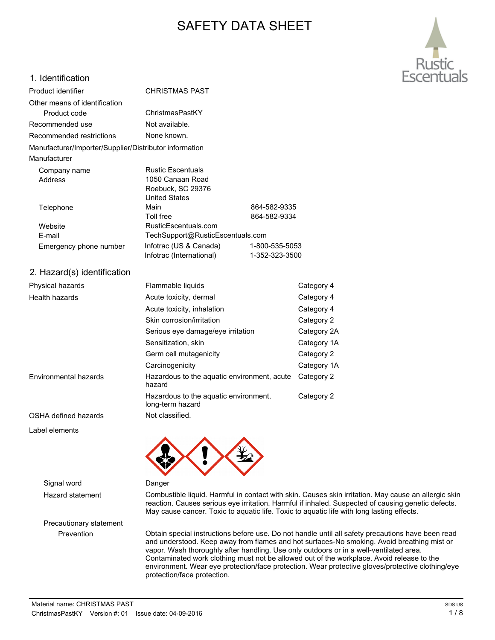# SAFETY DATA SHEET



### 1. Identification

| 1. IUVIIUIUU                                           |                                                                                        |              |             |
|--------------------------------------------------------|----------------------------------------------------------------------------------------|--------------|-------------|
| Product identifier                                     | <b>CHRISTMAS PAST</b>                                                                  |              |             |
| Other means of identification                          |                                                                                        |              |             |
| Product code                                           | ChristmasPastKY                                                                        |              |             |
| Recommended use                                        | Not available.                                                                         |              |             |
| Recommended restrictions                               | None known.                                                                            |              |             |
| Manufacturer/Importer/Supplier/Distributor information |                                                                                        |              |             |
| Manufacturer                                           |                                                                                        |              |             |
| Company name                                           | <b>Rustic Escentuals</b>                                                               |              |             |
| <b>Address</b>                                         | 1050 Canaan Road<br>Roebuck, SC 29376                                                  |              |             |
|                                                        | <b>United States</b>                                                                   |              |             |
| Telephone                                              | Main                                                                                   | 864-582-9335 |             |
|                                                        | <b>Toll free</b>                                                                       | 864-582-9334 |             |
| Website                                                | RusticEscentuals.com                                                                   |              |             |
| E-mail                                                 | TechSupport@RusticEscentuals.com                                                       |              |             |
| Emergency phone number                                 | Infotrac (US & Canada)<br>1-800-535-5053<br>Infotrac (International)<br>1-352-323-3500 |              |             |
| 2. Hazard(s) identification                            |                                                                                        |              |             |
| Physical hazards                                       | Flammable liquids                                                                      |              | Category 4  |
| Health hazards                                         | Acute toxicity, dermal                                                                 |              | Category 4  |
|                                                        | Acute toxicity, inhalation                                                             |              | Category 4  |
|                                                        | Skin corrosion/irritation                                                              |              | Category 2  |
|                                                        | Serious eye damage/eye irritation                                                      |              | Category 2A |
|                                                        | Sensitization, skin                                                                    |              | Category 1A |
|                                                        | Germ cell mutagenicity                                                                 |              | Category 2  |
|                                                        | Carcinogenicity                                                                        |              | Category 1A |
| Environmental hazards                                  | Hazardous to the aquatic environment, acute<br>hazard                                  |              | Category 2  |
|                                                        | Hazardous to the aquatic environment,<br>long-term hazard                              |              | Category 2  |
| OSHA defined hazards                                   | Not classified.                                                                        |              |             |
| Label elements                                         |                                                                                        |              |             |
|                                                        |                                                                                        |              |             |
|                                                        |                                                                                        |              |             |
|                                                        |                                                                                        |              |             |

Signal word Danger

Precautionary statement

Hazard statement Combustible liquid. Harmful in contact with skin. Causes skin irritation. May cause an allergic skin reaction. Causes serious eye irritation. Harmful if inhaled. Suspected of causing genetic defects. May cause cancer. Toxic to aquatic life. Toxic to aquatic life with long lasting effects.

Prevention Obtain special instructions before use. Do not handle until all safety precautions have been read and understood. Keep away from flames and hot surfaces-No smoking. Avoid breathing mist or vapor. Wash thoroughly after handling. Use only outdoors or in a well-ventilated area. Contaminated work clothing must not be allowed out of the workplace. Avoid release to the environment. Wear eye protection/face protection. Wear protective gloves/protective clothing/eye protection/face protection.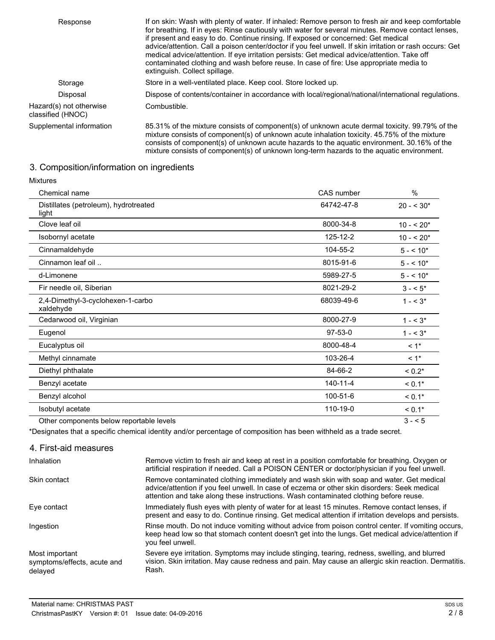| Response                                     | If on skin: Wash with plenty of water. If inhaled: Remove person to fresh air and keep comfortable<br>for breathing. If in eyes: Rinse cautiously with water for several minutes. Remove contact lenses,<br>if present and easy to do. Continue rinsing. If exposed or concerned: Get medical<br>advice/attention. Call a poison center/doctor if you feel unwell. If skin irritation or rash occurs: Get<br>medical advice/attention. If eye irritation persists: Get medical advice/attention. Take off<br>contaminated clothing and wash before reuse. In case of fire: Use appropriate media to<br>extinguish. Collect spillage. |
|----------------------------------------------|--------------------------------------------------------------------------------------------------------------------------------------------------------------------------------------------------------------------------------------------------------------------------------------------------------------------------------------------------------------------------------------------------------------------------------------------------------------------------------------------------------------------------------------------------------------------------------------------------------------------------------------|
| Storage                                      | Store in a well-ventilated place. Keep cool. Store locked up.                                                                                                                                                                                                                                                                                                                                                                                                                                                                                                                                                                        |
| Disposal                                     | Dispose of contents/container in accordance with local/regional/national/international regulations.                                                                                                                                                                                                                                                                                                                                                                                                                                                                                                                                  |
| Hazard(s) not otherwise<br>classified (HNOC) | Combustible.                                                                                                                                                                                                                                                                                                                                                                                                                                                                                                                                                                                                                         |
| Supplemental information                     | 85.31% of the mixture consists of component(s) of unknown acute dermal toxicity. 99.79% of the<br>mixture consists of component(s) of unknown acute inhalation toxicity. 45.75% of the mixture<br>consists of component(s) of unknown acute hazards to the aquatic environment. 30.16% of the<br>mixture consists of component(s) of unknown long-term hazards to the aquatic environment.                                                                                                                                                                                                                                           |

## 3. Composition/information on ingredients

| <b>Mixtures</b>                                |                |             |
|------------------------------------------------|----------------|-------------|
| Chemical name                                  | CAS number     | $\%$        |
| Distillates (petroleum), hydrotreated<br>light | 64742-47-8     | $20 - 530*$ |
| Clove leaf oil                                 | 8000-34-8      | $10 - 520*$ |
| Isobornyl acetate                              | 125-12-2       | $10 - 520*$ |
| Cinnamaldehyde                                 | 104-55-2       | $5 - 10*$   |
| Cinnamon leaf oil                              | 8015-91-6      | $5 - 10*$   |
| d-Limonene                                     | 5989-27-5      | $5 - 10*$   |
| Fir needle oil, Siberian                       | 8021-29-2      | $3 - 5^*$   |
| 2,4-Dimethyl-3-cyclohexen-1-carbo<br>xaldehyde | 68039-49-6     | $1 - 5^*$   |
| Cedarwood oil, Virginian                       | 8000-27-9      | $1 - 5^*$   |
| Eugenol                                        | $97 - 53 - 0$  | $1 - 5^*$   |
| Eucalyptus oil                                 | 8000-48-4      | $< 1$ *     |
| Methyl cinnamate                               | 103-26-4       | $< 1$ *     |
| Diethyl phthalate                              | 84-66-2        | $< 0.2*$    |
| Benzyl acetate                                 | $140 - 11 - 4$ | $< 0.1*$    |
| Benzyl alcohol                                 | 100-51-6       | $< 0.1*$    |
| Isobutyl acetate                               | 110-19-0       | $< 0.1*$    |
| Other components below reportable levels       |                | $3 - 5$     |

\*Designates that a specific chemical identity and/or percentage of composition has been withheld as a trade secret.

### 4. First-aid measures

| Inhalation                                               | Remove victim to fresh air and keep at rest in a position comfortable for breathing. Oxygen or<br>artificial respiration if needed. Call a POISON CENTER or doctor/physician if you feel unwell.                                                                                 |
|----------------------------------------------------------|----------------------------------------------------------------------------------------------------------------------------------------------------------------------------------------------------------------------------------------------------------------------------------|
| Skin contact                                             | Remove contaminated clothing immediately and wash skin with soap and water. Get medical<br>advice/attention if you feel unwell. In case of eczema or other skin disorders: Seek medical<br>attention and take along these instructions. Wash contaminated clothing before reuse. |
| Eye contact                                              | Immediately flush eyes with plenty of water for at least 15 minutes. Remove contact lenses, if<br>present and easy to do. Continue rinsing. Get medical attention if irritation develops and persists.                                                                           |
| Ingestion                                                | Rinse mouth. Do not induce vomiting without advice from poison control center. If vomiting occurs,<br>keep head low so that stomach content doesn't get into the lungs. Get medical advice/attention if<br>you feel unwell.                                                      |
| Most important<br>symptoms/effects, acute and<br>delayed | Severe eye irritation. Symptoms may include stinging, tearing, redness, swelling, and blurred<br>vision. Skin irritation. May cause redness and pain. May cause an allergic skin reaction. Dermatitis.<br>Rash.                                                                  |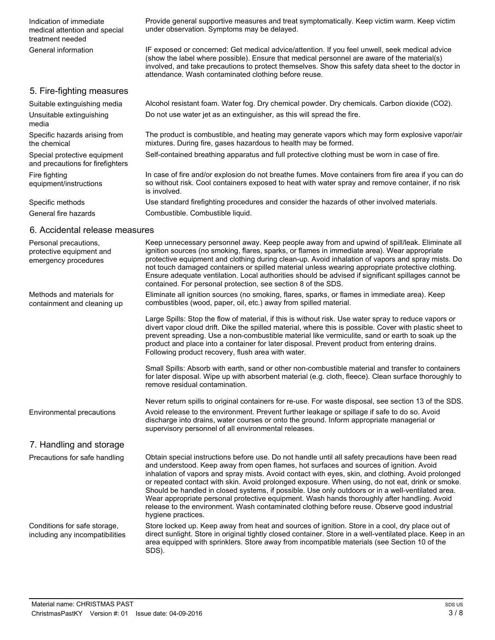Provide general supportive measures and treat symptomatically. Keep victim warm. Keep victim under observation. Symptoms may be delayed. Indication of immediate medical attention and special treatment needed IF exposed or concerned: Get medical advice/attention. If you feel unwell, seek medical advice (show the label where possible). Ensure that medical personnel are aware of the material(s) involved, and take precautions to protect themselves. Show this safety data sheet to the doctor in attendance. Wash contaminated clothing before reuse. General information 5. Fire-fighting measures Suitable extinguishing media Alcohol resistant foam. Water fog. Dry chemical powder. Dry chemicals. Carbon dioxide (CO2). Unsuitable extinguishing Do not use water jet as an extinguisher, as this will spread the fire. media The product is combustible, and heating may generate vapors which may form explosive vapor/air mixtures. During fire, gases hazardous to health may be formed. Specific hazards arising from the chemical Special protective equipment Self-contained breathing apparatus and full protective clothing must be worn in case of fire. and precautions for firefighters

In case of fire and/or explosion do not breathe fumes. Move containers from fire area if you can do so without risk. Cool containers exposed to heat with water spray and remove container, if no risk is involved. equipment/instructions

Specific methods Use standard firefighting procedures and consider the hazards of other involved materials. General fire hazards Combustible. Combustible liquid.

### 6. Accidental release measures

Fire fighting

| Personal precautions,<br>protective equipment and<br>emergency procedures | Keep unnecessary personnel away. Keep people away from and upwind of spill/leak. Eliminate all<br>ignition sources (no smoking, flares, sparks, or flames in immediate area). Wear appropriate<br>protective equipment and clothing during clean-up. Avoid inhalation of vapors and spray mists. Do<br>not touch damaged containers or spilled material unless wearing appropriate protective clothing.<br>Ensure adequate ventilation. Local authorities should be advised if significant spillages cannot be<br>contained. For personal protection, see section 8 of the SDS.                                                                                                                                                  |
|---------------------------------------------------------------------------|----------------------------------------------------------------------------------------------------------------------------------------------------------------------------------------------------------------------------------------------------------------------------------------------------------------------------------------------------------------------------------------------------------------------------------------------------------------------------------------------------------------------------------------------------------------------------------------------------------------------------------------------------------------------------------------------------------------------------------|
| Methods and materials for<br>containment and cleaning up                  | Eliminate all ignition sources (no smoking, flares, sparks, or flames in immediate area). Keep<br>combustibles (wood, paper, oil, etc.) away from spilled material.                                                                                                                                                                                                                                                                                                                                                                                                                                                                                                                                                              |
|                                                                           | Large Spills: Stop the flow of material, if this is without risk. Use water spray to reduce vapors or<br>divert vapor cloud drift. Dike the spilled material, where this is possible. Cover with plastic sheet to<br>prevent spreading. Use a non-combustible material like vermiculite, sand or earth to soak up the<br>product and place into a container for later disposal. Prevent product from entering drains.<br>Following product recovery, flush area with water.                                                                                                                                                                                                                                                      |
|                                                                           | Small Spills: Absorb with earth, sand or other non-combustible material and transfer to containers<br>for later disposal. Wipe up with absorbent material (e.g. cloth, fleece). Clean surface thoroughly to<br>remove residual contamination.                                                                                                                                                                                                                                                                                                                                                                                                                                                                                    |
|                                                                           | Never return spills to original containers for re-use. For waste disposal, see section 13 of the SDS.                                                                                                                                                                                                                                                                                                                                                                                                                                                                                                                                                                                                                            |
| Environmental precautions                                                 | Avoid release to the environment. Prevent further leakage or spillage if safe to do so. Avoid<br>discharge into drains, water courses or onto the ground. Inform appropriate managerial or<br>supervisory personnel of all environmental releases.                                                                                                                                                                                                                                                                                                                                                                                                                                                                               |
| 7. Handling and storage                                                   |                                                                                                                                                                                                                                                                                                                                                                                                                                                                                                                                                                                                                                                                                                                                  |
| Precautions for safe handling                                             | Obtain special instructions before use. Do not handle until all safety precautions have been read<br>and understood. Keep away from open flames, hot surfaces and sources of ignition. Avoid<br>inhalation of vapors and spray mists. Avoid contact with eyes, skin, and clothing. Avoid prolonged<br>or repeated contact with skin. Avoid prolonged exposure. When using, do not eat, drink or smoke.<br>Should be handled in closed systems, if possible. Use only outdoors or in a well-ventilated area.<br>Wear appropriate personal protective equipment. Wash hands thoroughly after handling. Avoid<br>release to the environment. Wash contaminated clothing before reuse. Observe good industrial<br>hygiene practices. |
| Conditions for safe storage,<br>including any incompatibilities           | Store locked up. Keep away from heat and sources of ignition. Store in a cool, dry place out of<br>direct sunlight. Store in original tightly closed container. Store in a well-ventilated place. Keep in an<br>area equipped with sprinklers. Store away from incompatible materials (see Section 10 of the<br>SDS).                                                                                                                                                                                                                                                                                                                                                                                                            |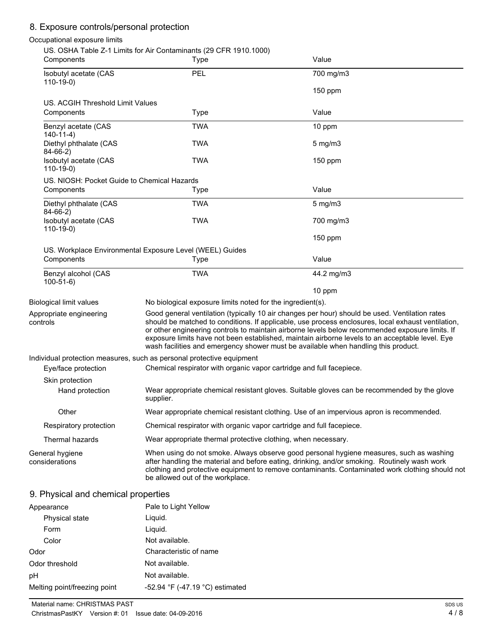# 8. Exposure controls/personal protection

## Occupational exposure limits

| Components                                  | US. OSHA Table Z-1 Limits for Air Contaminants (29 CFR 1910.1000)<br>Type | Value                                                                                                                                                                                                                                                                                                                                                                                                                                                                                            |
|---------------------------------------------|---------------------------------------------------------------------------|--------------------------------------------------------------------------------------------------------------------------------------------------------------------------------------------------------------------------------------------------------------------------------------------------------------------------------------------------------------------------------------------------------------------------------------------------------------------------------------------------|
| Isobutyl acetate (CAS                       | PEL                                                                       | 700 mg/m3                                                                                                                                                                                                                                                                                                                                                                                                                                                                                        |
| $110-19-0$                                  |                                                                           | 150 ppm                                                                                                                                                                                                                                                                                                                                                                                                                                                                                          |
| US. ACGIH Threshold Limit Values            |                                                                           |                                                                                                                                                                                                                                                                                                                                                                                                                                                                                                  |
| Components                                  | Type                                                                      | Value                                                                                                                                                                                                                                                                                                                                                                                                                                                                                            |
| Benzyl acetate (CAS<br>$140 - 11 - 4$       | <b>TWA</b>                                                                | 10 ppm                                                                                                                                                                                                                                                                                                                                                                                                                                                                                           |
| Diethyl phthalate (CAS<br>$84-66-2)$        | TWA                                                                       | 5 mg/m3                                                                                                                                                                                                                                                                                                                                                                                                                                                                                          |
| Isobutyl acetate (CAS<br>$110-19-0$         | <b>TWA</b>                                                                | 150 ppm                                                                                                                                                                                                                                                                                                                                                                                                                                                                                          |
| US. NIOSH: Pocket Guide to Chemical Hazards |                                                                           |                                                                                                                                                                                                                                                                                                                                                                                                                                                                                                  |
| Components                                  | Type                                                                      | Value                                                                                                                                                                                                                                                                                                                                                                                                                                                                                            |
| Diethyl phthalate (CAS<br>$84-66-2)$        | <b>TWA</b>                                                                | $5$ mg/m $3$                                                                                                                                                                                                                                                                                                                                                                                                                                                                                     |
| Isobutyl acetate (CAS<br>$110-19-0$         | <b>TWA</b>                                                                | 700 mg/m3                                                                                                                                                                                                                                                                                                                                                                                                                                                                                        |
|                                             |                                                                           | $150$ ppm                                                                                                                                                                                                                                                                                                                                                                                                                                                                                        |
|                                             | US. Workplace Environmental Exposure Level (WEEL) Guides                  |                                                                                                                                                                                                                                                                                                                                                                                                                                                                                                  |
| Components                                  | Type                                                                      | Value                                                                                                                                                                                                                                                                                                                                                                                                                                                                                            |
| Benzyl alcohol (CAS<br>$100-51-6$           | <b>TWA</b>                                                                | 44.2 mg/m3                                                                                                                                                                                                                                                                                                                                                                                                                                                                                       |
|                                             |                                                                           | 10 ppm                                                                                                                                                                                                                                                                                                                                                                                                                                                                                           |
| <b>Biological limit values</b>              | No biological exposure limits noted for the ingredient(s).                |                                                                                                                                                                                                                                                                                                                                                                                                                                                                                                  |
| Appropriate engineering<br>controls         |                                                                           | Good general ventilation (typically 10 air changes per hour) should be used. Ventilation rates<br>should be matched to conditions. If applicable, use process enclosures, local exhaust ventilation,<br>or other engineering controls to maintain airborne levels below recommended exposure limits. If<br>exposure limits have not been established, maintain airborne levels to an acceptable level. Eye<br>wash facilities and emergency shower must be available when handling this product. |
|                                             | Individual protection measures, such as personal protective equipment     |                                                                                                                                                                                                                                                                                                                                                                                                                                                                                                  |
| Eye/face protection                         | Chemical respirator with organic vapor cartridge and full facepiece.      |                                                                                                                                                                                                                                                                                                                                                                                                                                                                                                  |
| Skin protection                             |                                                                           |                                                                                                                                                                                                                                                                                                                                                                                                                                                                                                  |
| Hand protection                             | supplier.                                                                 | Wear appropriate chemical resistant gloves. Suitable gloves can be recommended by the glove                                                                                                                                                                                                                                                                                                                                                                                                      |
| Other                                       |                                                                           | Wear appropriate chemical resistant clothing. Use of an impervious apron is recommended.                                                                                                                                                                                                                                                                                                                                                                                                         |
| Respiratory protection                      | Chemical respirator with organic vapor cartridge and full facepiece.      |                                                                                                                                                                                                                                                                                                                                                                                                                                                                                                  |
| Thermal hazards                             | Wear appropriate thermal protective clothing, when necessary.             |                                                                                                                                                                                                                                                                                                                                                                                                                                                                                                  |
| General hygiene<br>considerations           | be allowed out of the workplace.                                          | When using do not smoke. Always observe good personal hygiene measures, such as washing<br>after handling the material and before eating, drinking, and/or smoking. Routinely wash work<br>clothing and protective equipment to remove contaminants. Contaminated work clothing should not                                                                                                                                                                                                       |

# 9. Physical and chemical properties

| Appearance                   | Pale to Light Yellow            |
|------------------------------|---------------------------------|
| Physical state               | Liquid.                         |
| Form                         | Liguid.                         |
| Color                        | Not available.                  |
| Odor                         | Characteristic of name          |
| Odor threshold               | Not available.                  |
| рH                           | Not available.                  |
| Melting point/freezing point | -52.94 °F (-47.19 °C) estimated |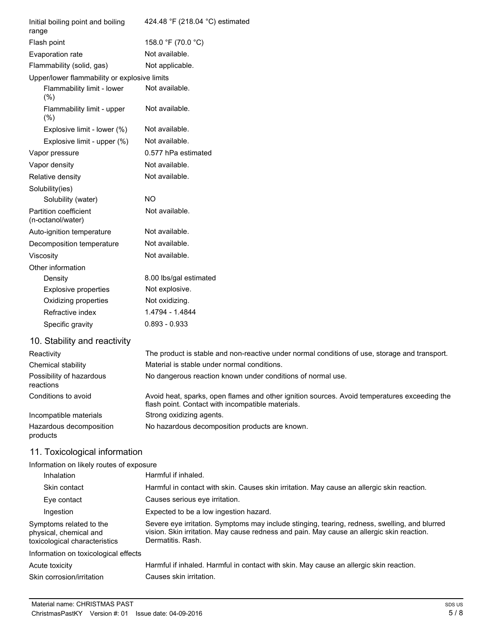| Initial boiling point and boiling<br>range   | 424.48 °F (218.04 °C) estimated |
|----------------------------------------------|---------------------------------|
| Flash point                                  | 158.0 °F (70.0 °C)              |
| Evaporation rate                             | Not available.                  |
| Flammability (solid, gas)                    | Not applicable.                 |
| Upper/lower flammability or explosive limits |                                 |
| Flammability limit - lower<br>(%)            | Not available.                  |
| Flammability limit - upper<br>(%)            | Not available.                  |
| Explosive limit - lower (%)                  | Not available.                  |
| Explosive limit - upper (%)                  | Not available.                  |
| Vapor pressure                               | 0.577 hPa estimated             |
| Vapor density                                | Not available.                  |
| Relative density                             | Not available.                  |
| Solubility(ies)                              |                                 |
| Solubility (water)                           | <b>NO</b>                       |
| Partition coefficient<br>(n-octanol/water)   | Not available.                  |
| Auto-ignition temperature                    | Not available.                  |
| Decomposition temperature                    | Not available.                  |
| Viscosity                                    | Not available.                  |
| Other information                            |                                 |
| Density                                      | 8.00 lbs/gal estimated          |
| <b>Explosive properties</b>                  | Not explosive.                  |
| Oxidizing properties                         | Not oxidizing.                  |
| Refractive index                             | 1.4794 - 1.4844                 |
| Specific gravity                             | $0.893 - 0.933$                 |

# 10. Stability and reactivity

| Reactivity                            | The product is stable and non-reactive under normal conditions of use, storage and transport.                                                     |
|---------------------------------------|---------------------------------------------------------------------------------------------------------------------------------------------------|
| Chemical stability                    | Material is stable under normal conditions.                                                                                                       |
| Possibility of hazardous<br>reactions | No dangerous reaction known under conditions of normal use.                                                                                       |
| Conditions to avoid                   | Avoid heat, sparks, open flames and other ignition sources. Avoid temperatures exceeding the<br>flash point. Contact with incompatible materials. |
| Incompatible materials                | Strong oxidizing agents.                                                                                                                          |
| Hazardous decomposition<br>products   | No hazardous decomposition products are known.                                                                                                    |

# 11. Toxicological information

## Information on likely routes of exposure

| Harmful if inhaled.                                                                                                                                                                                             |
|-----------------------------------------------------------------------------------------------------------------------------------------------------------------------------------------------------------------|
| Harmful in contact with skin. Causes skin irritation. May cause an allergic skin reaction.                                                                                                                      |
| Causes serious eye irritation.                                                                                                                                                                                  |
| Expected to be a low ingestion hazard.                                                                                                                                                                          |
| Severe eye irritation. Symptoms may include stinging, tearing, redness, swelling, and blurred<br>vision. Skin irritation. May cause redness and pain. May cause an allergic skin reaction.<br>Dermatitis, Rash. |
|                                                                                                                                                                                                                 |
| Harmful if inhaled. Harmful in contact with skin. May cause an allergic skin reaction.                                                                                                                          |
| Causes skin irritation.                                                                                                                                                                                         |
|                                                                                                                                                                                                                 |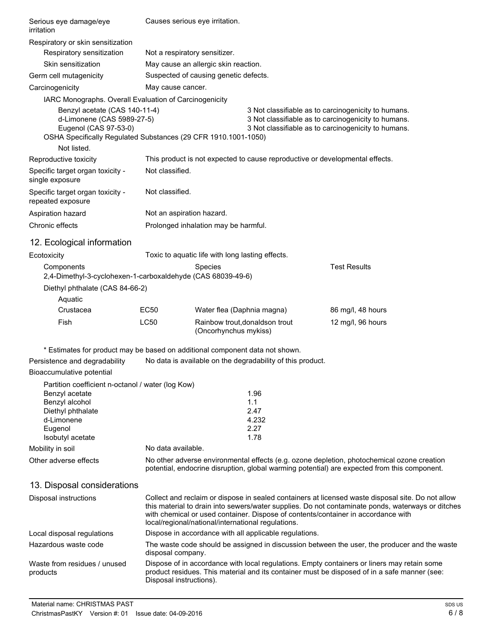| Serious eye damage/eye<br>irritation                                                                                                                   |                           | Causes serious eye irritation.                                                                                                                                    |                                                                              |                                                                                                                                                                                                                                                                                             |
|--------------------------------------------------------------------------------------------------------------------------------------------------------|---------------------------|-------------------------------------------------------------------------------------------------------------------------------------------------------------------|------------------------------------------------------------------------------|---------------------------------------------------------------------------------------------------------------------------------------------------------------------------------------------------------------------------------------------------------------------------------------------|
| Respiratory or skin sensitization                                                                                                                      |                           |                                                                                                                                                                   |                                                                              |                                                                                                                                                                                                                                                                                             |
| Respiratory sensitization                                                                                                                              |                           | Not a respiratory sensitizer.                                                                                                                                     |                                                                              |                                                                                                                                                                                                                                                                                             |
| Skin sensitization                                                                                                                                     |                           | May cause an allergic skin reaction.                                                                                                                              |                                                                              |                                                                                                                                                                                                                                                                                             |
| Germ cell mutagenicity                                                                                                                                 |                           | Suspected of causing genetic defects.                                                                                                                             |                                                                              |                                                                                                                                                                                                                                                                                             |
| Carcinogenicity                                                                                                                                        | May cause cancer.         |                                                                                                                                                                   |                                                                              |                                                                                                                                                                                                                                                                                             |
| IARC Monographs. Overall Evaluation of Carcinogenicity                                                                                                 |                           |                                                                                                                                                                   |                                                                              |                                                                                                                                                                                                                                                                                             |
| Benzyl acetate (CAS 140-11-4)<br>d-Limonene (CAS 5989-27-5)<br>Eugenol (CAS 97-53-0)<br>OSHA Specifically Regulated Substances (29 CFR 1910.1001-1050) |                           | 3 Not classifiable as to carcinogenicity to humans.<br>3 Not classifiable as to carcinogenicity to humans.<br>3 Not classifiable as to carcinogenicity to humans. |                                                                              |                                                                                                                                                                                                                                                                                             |
| Not listed.                                                                                                                                            |                           |                                                                                                                                                                   |                                                                              |                                                                                                                                                                                                                                                                                             |
| Reproductive toxicity                                                                                                                                  |                           |                                                                                                                                                                   | This product is not expected to cause reproductive or developmental effects. |                                                                                                                                                                                                                                                                                             |
| Specific target organ toxicity -<br>single exposure                                                                                                    | Not classified.           |                                                                                                                                                                   |                                                                              |                                                                                                                                                                                                                                                                                             |
| Specific target organ toxicity -<br>repeated exposure                                                                                                  | Not classified.           |                                                                                                                                                                   |                                                                              |                                                                                                                                                                                                                                                                                             |
| Aspiration hazard                                                                                                                                      | Not an aspiration hazard. |                                                                                                                                                                   |                                                                              |                                                                                                                                                                                                                                                                                             |
| Chronic effects                                                                                                                                        |                           | Prolonged inhalation may be harmful.                                                                                                                              |                                                                              |                                                                                                                                                                                                                                                                                             |
| 12. Ecological information                                                                                                                             |                           |                                                                                                                                                                   |                                                                              |                                                                                                                                                                                                                                                                                             |
| Ecotoxicity                                                                                                                                            |                           | Toxic to aquatic life with long lasting effects.                                                                                                                  |                                                                              |                                                                                                                                                                                                                                                                                             |
| Components<br>2,4-Dimethyl-3-cyclohexen-1-carboxaldehyde (CAS 68039-49-6)                                                                              |                           | <b>Species</b>                                                                                                                                                    |                                                                              | <b>Test Results</b>                                                                                                                                                                                                                                                                         |
| Diethyl phthalate (CAS 84-66-2)                                                                                                                        |                           |                                                                                                                                                                   |                                                                              |                                                                                                                                                                                                                                                                                             |
| Aquatic                                                                                                                                                |                           |                                                                                                                                                                   |                                                                              |                                                                                                                                                                                                                                                                                             |
| Crustacea                                                                                                                                              | <b>EC50</b>               | Water flea (Daphnia magna)                                                                                                                                        |                                                                              | 86 mg/l, 48 hours                                                                                                                                                                                                                                                                           |
| Fish                                                                                                                                                   | <b>LC50</b>               | Rainbow trout, donaldson trout<br>(Oncorhynchus mykiss)                                                                                                           |                                                                              | 12 mg/l, 96 hours                                                                                                                                                                                                                                                                           |
| * Estimates for product may be based on additional component data not shown.                                                                           |                           |                                                                                                                                                                   |                                                                              |                                                                                                                                                                                                                                                                                             |
| Persistence and degradability                                                                                                                          |                           |                                                                                                                                                                   | No data is available on the degradability of this product.                   |                                                                                                                                                                                                                                                                                             |
| Bioaccumulative potential                                                                                                                              |                           |                                                                                                                                                                   |                                                                              |                                                                                                                                                                                                                                                                                             |
| Partition coefficient n-octanol / water (log Kow)                                                                                                      |                           |                                                                                                                                                                   |                                                                              |                                                                                                                                                                                                                                                                                             |
| Benzyl acetate                                                                                                                                         |                           |                                                                                                                                                                   | 1.96                                                                         |                                                                                                                                                                                                                                                                                             |
| Benzyl alcohol<br>Diethyl phthalate                                                                                                                    |                           |                                                                                                                                                                   | 1.1<br>2.47                                                                  |                                                                                                                                                                                                                                                                                             |
| d-Limonene                                                                                                                                             |                           |                                                                                                                                                                   | 4.232                                                                        |                                                                                                                                                                                                                                                                                             |
| Eugenol                                                                                                                                                |                           |                                                                                                                                                                   | 2.27                                                                         |                                                                                                                                                                                                                                                                                             |
| Isobutyl acetate                                                                                                                                       | No data available.        |                                                                                                                                                                   | 1.78                                                                         |                                                                                                                                                                                                                                                                                             |
| Mobility in soil                                                                                                                                       |                           |                                                                                                                                                                   |                                                                              |                                                                                                                                                                                                                                                                                             |
| Other adverse effects                                                                                                                                  |                           |                                                                                                                                                                   |                                                                              | No other adverse environmental effects (e.g. ozone depletion, photochemical ozone creation<br>potential, endocrine disruption, global warming potential) are expected from this component.                                                                                                  |
| 13. Disposal considerations                                                                                                                            |                           |                                                                                                                                                                   |                                                                              |                                                                                                                                                                                                                                                                                             |
| Disposal instructions                                                                                                                                  |                           | local/regional/national/international regulations.                                                                                                                |                                                                              | Collect and reclaim or dispose in sealed containers at licensed waste disposal site. Do not allow<br>this material to drain into sewers/water supplies. Do not contaminate ponds, waterways or ditches<br>with chemical or used container. Dispose of contents/container in accordance with |
| Local disposal regulations                                                                                                                             |                           |                                                                                                                                                                   | Dispose in accordance with all applicable regulations.                       |                                                                                                                                                                                                                                                                                             |
| Hazardous waste code                                                                                                                                   | disposal company.         |                                                                                                                                                                   |                                                                              | The waste code should be assigned in discussion between the user, the producer and the waste                                                                                                                                                                                                |
| Waste from residues / unused<br>products                                                                                                               | Disposal instructions).   |                                                                                                                                                                   |                                                                              | Dispose of in accordance with local regulations. Empty containers or liners may retain some<br>product residues. This material and its container must be disposed of in a safe manner (see:                                                                                                 |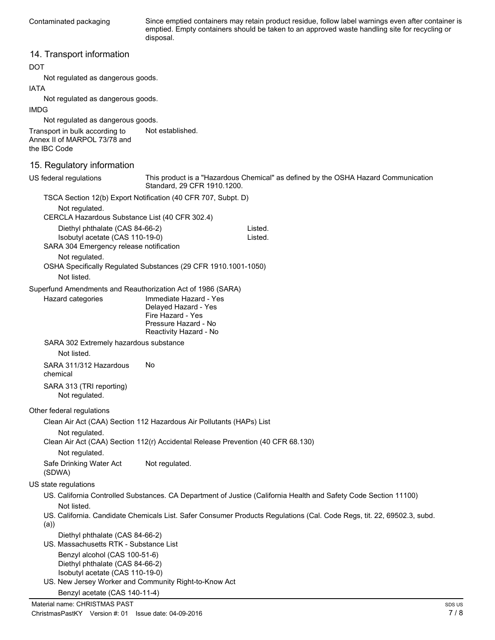Since emptied containers may retain product residue, follow label warnings even after container is emptied. Empty containers should be taken to an approved waste handling site for recycling or disposal.

### 14. Transport information

### DOT

Not regulated as dangerous goods.

### IATA

Not regulated as dangerous goods.

### IMDG

Not regulated as dangerous goods.

Transport in bulk according to Not established. Annex II of MARPOL 73/78 and the IBC Code

### 15. Regulatory information

| US federal regulations                                                           | Standard, 29 CFR 1910.1200.                    | This product is a "Hazardous Chemical" as defined by the OSHA Hazard Communication                                     |        |
|----------------------------------------------------------------------------------|------------------------------------------------|------------------------------------------------------------------------------------------------------------------------|--------|
| TSCA Section 12(b) Export Notification (40 CFR 707, Subpt. D)                    |                                                |                                                                                                                        |        |
| Not regulated.                                                                   |                                                |                                                                                                                        |        |
| CERCLA Hazardous Substance List (40 CFR 302.4)                                   |                                                |                                                                                                                        |        |
| Diethyl phthalate (CAS 84-66-2)                                                  |                                                | Listed.                                                                                                                |        |
| Isobutyl acetate (CAS 110-19-0)                                                  |                                                | Listed.                                                                                                                |        |
| SARA 304 Emergency release notification                                          |                                                |                                                                                                                        |        |
| Not regulated.<br>OSHA Specifically Regulated Substances (29 CFR 1910.1001-1050) |                                                |                                                                                                                        |        |
| Not listed.                                                                      |                                                |                                                                                                                        |        |
| Superfund Amendments and Reauthorization Act of 1986 (SARA)                      |                                                |                                                                                                                        |        |
| Hazard categories                                                                | Immediate Hazard - Yes                         |                                                                                                                        |        |
|                                                                                  | Delayed Hazard - Yes                           |                                                                                                                        |        |
|                                                                                  | Fire Hazard - Yes                              |                                                                                                                        |        |
|                                                                                  | Pressure Hazard - No<br>Reactivity Hazard - No |                                                                                                                        |        |
| SARA 302 Extremely hazardous substance                                           |                                                |                                                                                                                        |        |
| Not listed.                                                                      |                                                |                                                                                                                        |        |
| SARA 311/312 Hazardous<br>chemical                                               | No.                                            |                                                                                                                        |        |
| SARA 313 (TRI reporting)<br>Not regulated.                                       |                                                |                                                                                                                        |        |
| Other federal regulations                                                        |                                                |                                                                                                                        |        |
| Clean Air Act (CAA) Section 112 Hazardous Air Pollutants (HAPs) List             |                                                |                                                                                                                        |        |
| Not regulated.                                                                   |                                                |                                                                                                                        |        |
| Clean Air Act (CAA) Section 112(r) Accidental Release Prevention (40 CFR 68.130) |                                                |                                                                                                                        |        |
| Not regulated.                                                                   |                                                |                                                                                                                        |        |
| Safe Drinking Water Act<br>(SDWA)                                                | Not regulated.                                 |                                                                                                                        |        |
| US state regulations                                                             |                                                |                                                                                                                        |        |
| Not listed.                                                                      |                                                | US. California Controlled Substances. CA Department of Justice (California Health and Safety Code Section 11100)       |        |
| (a)                                                                              |                                                | US. California. Candidate Chemicals List. Safer Consumer Products Regulations (Cal. Code Regs, tit. 22, 69502.3, subd. |        |
| Diethyl phthalate (CAS 84-66-2)<br>US. Massachusetts RTK - Substance List        |                                                |                                                                                                                        |        |
| Benzyl alcohol (CAS 100-51-6)                                                    |                                                |                                                                                                                        |        |
| Diethyl phthalate (CAS 84-66-2)                                                  |                                                |                                                                                                                        |        |
| Isobutyl acetate (CAS 110-19-0)                                                  |                                                |                                                                                                                        |        |
| US. New Jersey Worker and Community Right-to-Know Act                            |                                                |                                                                                                                        |        |
| Benzyl acetate (CAS 140-11-4)                                                    |                                                |                                                                                                                        |        |
| Material name: CHRISTMAS PAST                                                    |                                                |                                                                                                                        | SDS US |